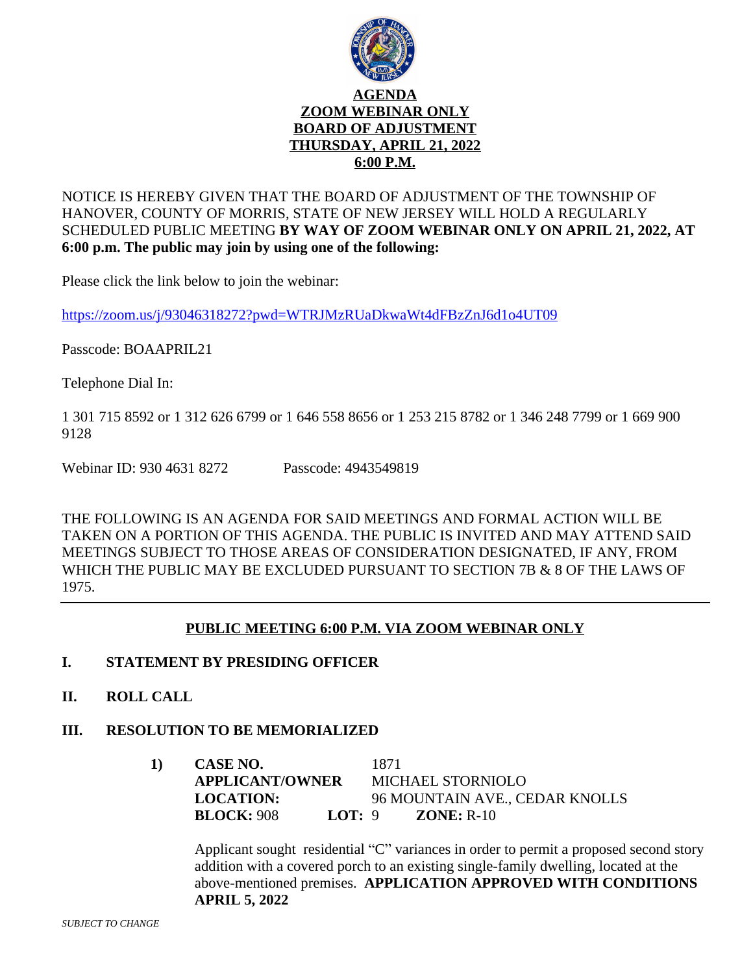

### NOTICE IS HEREBY GIVEN THAT THE BOARD OF ADJUSTMENT OF THE TOWNSHIP OF HANOVER, COUNTY OF MORRIS, STATE OF NEW JERSEY WILL HOLD A REGULARLY SCHEDULED PUBLIC MEETING **BY WAY OF ZOOM WEBINAR ONLY ON APRIL 21, 2022, AT 6:00 p.m. The public may join by using one of the following:**

Please click the link below to join the webinar:

<https://zoom.us/j/93046318272?pwd=WTRJMzRUaDkwaWt4dFBzZnJ6d1o4UT09>

[Passcode: BOAAPRIL21](https://zoom.us/j/93046318272?pwd=WTRJMzRUaDkwaWt4dFBzZnJ6d1o4UT09)

[Telephone](https://zoom.us/j/93046318272?pwd=WTRJMzRUaDkwaWt4dFBzZnJ6d1o4UT09) [Dial](https://zoom.us/j/93046318272?pwd=WTRJMzRUaDkwaWt4dFBzZnJ6d1o4UT09) [In:](https://zoom.us/j/93046318272?pwd=WTRJMzRUaDkwaWt4dFBzZnJ6d1o4UT09)

[1 301 715 8592 or 1 312 626 6799 or 1 646 558 8656 or 1 253 215 8782 or 1 346 248 7799 or 1 669 900](https://zoom.us/j/93046318272?pwd=WTRJMzRUaDkwaWt4dFBzZnJ6d1o4UT09)  [9128](https://zoom.us/j/93046318272?pwd=WTRJMzRUaDkwaWt4dFBzZnJ6d1o4UT09)

[Webinar ID: 930 4631 8272](https://zoom.us/j/93046318272?pwd=WTRJMzRUaDkwaWt4dFBzZnJ6d1o4UT09) [Passcode: 4943549819](https://zoom.us/j/93046318272?pwd=WTRJMzRUaDkwaWt4dFBzZnJ6d1o4UT09)

[THE FOLLOWING IS AN AGENDA FOR SAID MEETINGS AND FORMAL ACTION WILL BE](https://zoom.us/j/93046318272?pwd=WTRJMzRUaDkwaWt4dFBzZnJ6d1o4UT09)  [TAKEN ON A PORTION OF THIS AGENDA. THE PUBLIC IS INVITED AND MAY ATTEND SAID](https://zoom.us/j/93046318272?pwd=WTRJMzRUaDkwaWt4dFBzZnJ6d1o4UT09)  [MEETINGS SUBJECT TO THOSE AREAS OF CONSIDERATION DESIGNATED, IF ANY, FROM](https://zoom.us/j/93046318272?pwd=WTRJMzRUaDkwaWt4dFBzZnJ6d1o4UT09)  WHICH THE PUBLIC MAY BE EXCLUDED PURSUANT TO SECTION 7B & 8 OF THE LAWS OF [1975.](https://zoom.us/j/93046318272?pwd=WTRJMzRUaDkwaWt4dFBzZnJ6d1o4UT09)

### **[PUBLIC MEETING 6:00 P.M. VIA ZOOM WEBINAR ONLY](https://zoom.us/j/93046318272?pwd=WTRJMzRUaDkwaWt4dFBzZnJ6d1o4UT09)**

### **I. [STATEMENT BY PRESIDING OFFICER](https://zoom.us/j/93046318272?pwd=WTRJMzRUaDkwaWt4dFBzZnJ6d1o4UT09)**

**[II.](https://zoom.us/j/93046318272?pwd=WTRJMzRUaDkwaWt4dFBzZnJ6d1o4UT09) [ROLL CALL](https://zoom.us/j/93046318272?pwd=WTRJMzRUaDkwaWt4dFBzZnJ6d1o4UT09)**

# **[III.](https://zoom.us/j/93046318272?pwd=WTRJMzRUaDkwaWt4dFBzZnJ6d1o4UT09) [RESOLUTION TO BE MEMORIALIZED](https://zoom.us/j/93046318272?pwd=WTRJMzRUaDkwaWt4dFBzZnJ6d1o4UT09)**

**[1\)](https://zoom.us/j/93046318272?pwd=WTRJMzRUaDkwaWt4dFBzZnJ6d1o4UT09) [CASE NO.](https://zoom.us/j/93046318272?pwd=WTRJMzRUaDkwaWt4dFBzZnJ6d1o4UT09)** [1871](https://zoom.us/j/93046318272?pwd=WTRJMzRUaDkwaWt4dFBzZnJ6d1o4UT09) **[APPLICANT/OWNER](https://zoom.us/j/93046318272?pwd=WTRJMzRUaDkwaWt4dFBzZnJ6d1o4UT09)** [MICHAEL STORNIOLO](https://zoom.us/j/93046318272?pwd=WTRJMzRUaDkwaWt4dFBzZnJ6d1o4UT09) **[LOCATION:](https://zoom.us/j/93046318272?pwd=WTRJMzRUaDkwaWt4dFBzZnJ6d1o4UT09)** [96 MOUNTAIN AVE., CEDAR KNOLLS](https://zoom.us/j/93046318272?pwd=WTRJMzRUaDkwaWt4dFBzZnJ6d1o4UT09) **[BLOCK:](https://zoom.us/j/93046318272?pwd=WTRJMzRUaDkwaWt4dFBzZnJ6d1o4UT09)** [908](https://zoom.us/j/93046318272?pwd=WTRJMzRUaDkwaWt4dFBzZnJ6d1o4UT09) **[LOT:](https://zoom.us/j/93046318272?pwd=WTRJMzRUaDkwaWt4dFBzZnJ6d1o4UT09)** [9](https://zoom.us/j/93046318272?pwd=WTRJMzRUaDkwaWt4dFBzZnJ6d1o4UT09) **[ZONE:](https://zoom.us/j/93046318272?pwd=WTRJMzRUaDkwaWt4dFBzZnJ6d1o4UT09)** [R-10](https://zoom.us/j/93046318272?pwd=WTRJMzRUaDkwaWt4dFBzZnJ6d1o4UT09)

[Applicant sought residential](https://zoom.us/j/93046318272?pwd=WTRJMzRUaDkwaWt4dFBzZnJ6d1o4UT09) "C" variance[s](https://zoom.us/j/93046318272?pwd=WTRJMzRUaDkwaWt4dFBzZnJ6d1o4UT09) [in order to permit a proposed second story](https://zoom.us/j/93046318272?pwd=WTRJMzRUaDkwaWt4dFBzZnJ6d1o4UT09)  [addition with a covered porch to an existing single-family](https://zoom.us/j/93046318272?pwd=WTRJMzRUaDkwaWt4dFBzZnJ6d1o4UT09) [dwelling, located at the](https://zoom.us/j/93046318272?pwd=WTRJMzRUaDkwaWt4dFBzZnJ6d1o4UT09)  [above-mentioned](https://zoom.us/j/93046318272?pwd=WTRJMzRUaDkwaWt4dFBzZnJ6d1o4UT09) [premises.](https://zoom.us/j/93046318272?pwd=WTRJMzRUaDkwaWt4dFBzZnJ6d1o4UT09) **[APPLICATION APPROVED WITH CONDITIONS](https://zoom.us/j/93046318272?pwd=WTRJMzRUaDkwaWt4dFBzZnJ6d1o4UT09)  [APRIL 5, 2022](https://zoom.us/j/93046318272?pwd=WTRJMzRUaDkwaWt4dFBzZnJ6d1o4UT09)**